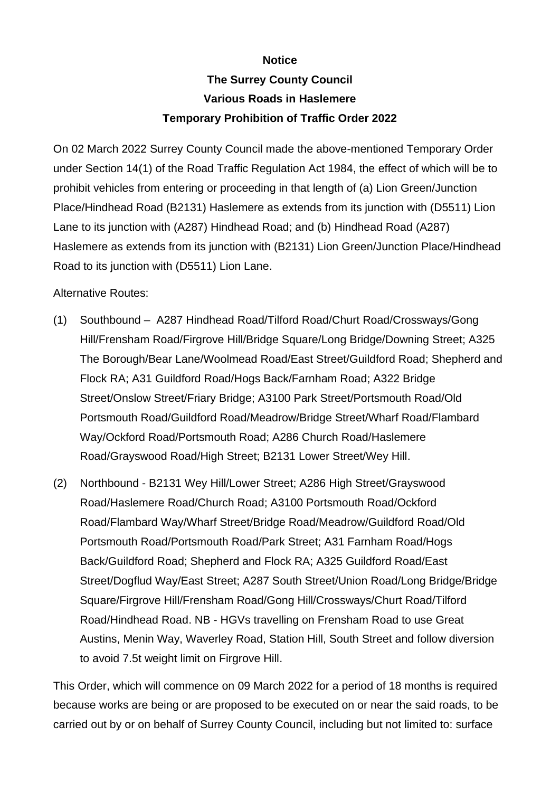## **Notice**

## **The Surrey County Council Various Roads in Haslemere Temporary Prohibition of Traffic Order 2022**

On 02 March 2022 Surrey County Council made the above-mentioned Temporary Order under Section 14(1) of the Road Traffic Regulation Act 1984, the effect of which will be to prohibit vehicles from entering or proceeding in that length of (a) Lion Green/Junction Place/Hindhead Road (B2131) Haslemere as extends from its junction with (D5511) Lion Lane to its junction with (A287) Hindhead Road; and (b) Hindhead Road (A287) Haslemere as extends from its junction with (B2131) Lion Green/Junction Place/Hindhead Road to its junction with (D5511) Lion Lane.

## Alternative Routes:

- (1) Southbound A287 Hindhead Road/Tilford Road/Churt Road/Crossways/Gong Hill/Frensham Road/Firgrove Hill/Bridge Square/Long Bridge/Downing Street; A325 The Borough/Bear Lane/Woolmead Road/East Street/Guildford Road; Shepherd and Flock RA; A31 Guildford Road/Hogs Back/Farnham Road; A322 Bridge Street/Onslow Street/Friary Bridge; A3100 Park Street/Portsmouth Road/Old Portsmouth Road/Guildford Road/Meadrow/Bridge Street/Wharf Road/Flambard Way/Ockford Road/Portsmouth Road; A286 Church Road/Haslemere Road/Grayswood Road/High Street; B2131 Lower Street/Wey Hill.
- (2) Northbound B2131 Wey Hill/Lower Street; A286 High Street/Grayswood Road/Haslemere Road/Church Road; A3100 Portsmouth Road/Ockford Road/Flambard Way/Wharf Street/Bridge Road/Meadrow/Guildford Road/Old Portsmouth Road/Portsmouth Road/Park Street; A31 Farnham Road/Hogs Back/Guildford Road; Shepherd and Flock RA; A325 Guildford Road/East Street/Dogflud Way/East Street; A287 South Street/Union Road/Long Bridge/Bridge Square/Firgrove Hill/Frensham Road/Gong Hill/Crossways/Churt Road/Tilford Road/Hindhead Road. NB - HGVs travelling on Frensham Road to use Great Austins, Menin Way, Waverley Road, Station Hill, South Street and follow diversion to avoid 7.5t weight limit on Firgrove Hill.

This Order, which will commence on 09 March 2022 for a period of 18 months is required because works are being or are proposed to be executed on or near the said roads, to be carried out by or on behalf of Surrey County Council, including but not limited to: surface